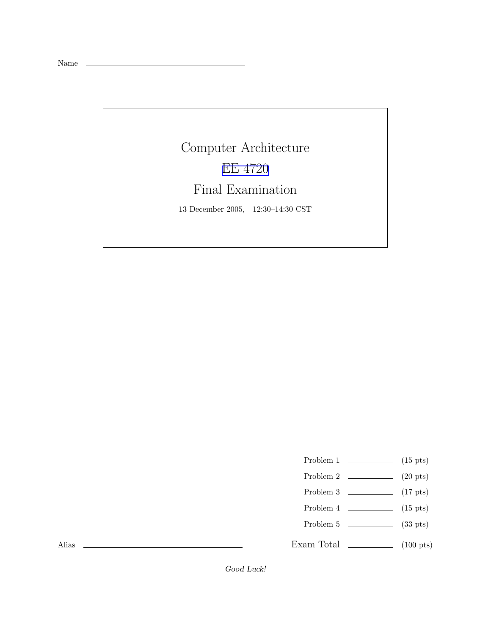Name

Computer Architecture EE [4720](http://www.ece.lsu.edu/ee4720/) Final Examination 13 December 2005, 12:30–14:30 CST

Problem 1  $\qquad \qquad$  (15 pts)

- Problem 2  $\qquad \qquad$  (20 pts)
- Problem 3  $\qquad \qquad (17 \text{ pts})$
- Problem 4  $\qquad \qquad$  (15 pts)
- Problem 5  $\sim$  (33 pts)

Exam Total \_\_\_\_\_\_\_\_\_\_\_\_\_ (100 pts)

Alias

Good Luck!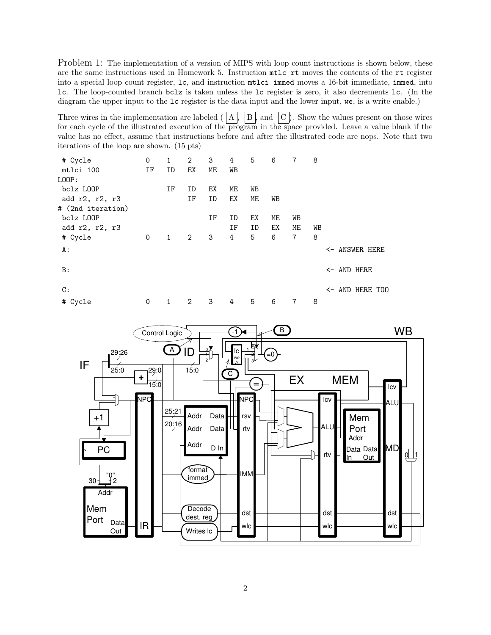Problem 1: The implementation of a version of MIPS with loop count instructions is shown below, these are the same instructions used in Homework 5. Instruction mtlc rt moves the contents of the rt register into a special loop count register, lc, and instruction mtlci immed moves a 16-bit immediate, immed, into lc. The loop-counted branch bclz is taken unless the lc register is zero, it also decrements lc. (In the diagram the upper input to the lc register is the data input and the lower input, we, is a write enable.)

Three wires in the implementation are labeled  $(|A|, |B|)$  and  $|C|$ . Show the values present on those wires for each cycle of the illustrated execution of the program in the space provided. Leave a value blank if the value has no effect, assume that instructions before and after the illustrated code are nops. Note that two iterations of the loop are shown. (15 pts)

| # Cycle           | 0  | 1            | 2            | 3  | 4  | 5  | 6  | 7  | 8  |                           |
|-------------------|----|--------------|--------------|----|----|----|----|----|----|---------------------------|
| mtlci 100         | IF | ID           | ЕX           | ME | WB |    |    |    |    |                           |
| LOOP:             |    |              |              |    |    |    |    |    |    |                           |
| bclz LOOP         |    | ΙF           | ID           | ЕX | ME | WB |    |    |    |                           |
| add r2, r2, r3    |    |              | ΙF           | ID | ЕX | МE | WВ |    |    |                           |
| # (2nd iteration) |    |              |              |    |    |    |    |    |    |                           |
| bclz LOOP         |    |              |              | ΙF | ID | ЕX | МE | WB |    |                           |
| add r2, r2, r3    |    |              |              |    | ΙF | ID | ЕX | МE | WB |                           |
| # Cycle           | 0  | $\mathbf{1}$ | $\mathbf{2}$ | 3  | 4  | 5  | 6  | 7  | 8  |                           |
| A :               |    |              |              |    |    |    |    |    |    | <- ANSWER HERE            |
| B:                |    |              |              |    |    |    |    |    |    | <- AND HERE               |
| $\mathbb{C}$ :    |    |              |              |    |    |    |    |    |    | $\leftarrow$ AND HERE TOO |
| # Cycle           | 0  | 1            | 2            | 3  | 4  | 5  | 6  | 7  | 8  |                           |

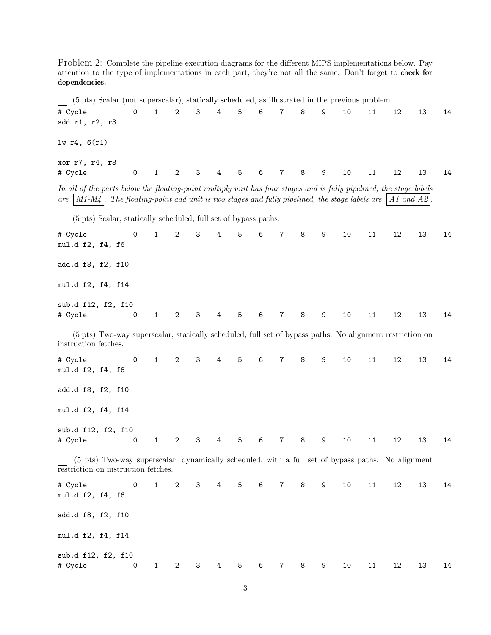Problem 2: Complete the pipeline execution diagrams for the different MIPS implementations below. Pay attention to the type of implementations in each part, they're not all the same. Don't forget to check for dependencies.

(5 pts) Scalar (not superscalar), statically scheduled, as illustrated in the previous problem. # Cycle 0 1 2 3 4 5 6 7 8 9 10 11 12 13 14 add r1, r2, r3 lw r4, 6(r1) xor r7, r4, r8 # Cycle 0 1 2 3 4 5 6 7 8 9 10 11 12 13 14 In all of the parts below the floating-point multiply unit has four stages and is fully pipelined, the stage labels are  $|M1-M4|$ . The floating-point add unit is two stages and fully pipelined, the stage labels are  $|A1|$  and A2 (5 pts) Scalar, statically scheduled, full set of bypass paths.  $\mathbf{I}$ # Cycle 0 1 2 3 4 5 6 7 8 9 10 11 12 13 14 mul.d f2, f4, f6 add.d f8, f2, f10 mul.d f2, f4, f14 sub.d f12, f2, f10 # Cycle 0 1 2 3 4 5 6 7 8 9 10 11 12 13 14 (5 pts) Two-way superscalar, statically scheduled, full set of bypass paths. No alignment restriction on instruction fetches. # Cycle 0 1 2 3 4 5 6 7 8 9 10 11 12 13 14 mul.d f2, f4, f6 add.d f8, f2, f10 mul.d f2, f4, f14 sub.d f12, f2, f10 # Cycle 0 1 2 3 4 5 6 7 8 9 10 11 12 13 14  $\mathbf{L}$ (5 pts) Two-way superscalar, dynamically scheduled, with a full set of bypass paths. No alignment restriction on instruction fetches. # Cycle 0 1 2 3 4 5 6 7 8 9 10 11 12 13 14 mul.d f2, f4, f6 add.d f8, f2, f10 mul.d f2, f4, f14 sub.d f12, f2, f10 # Cycle 0 1 2 3 4 5 6 7 8 9 10 11 12 13 14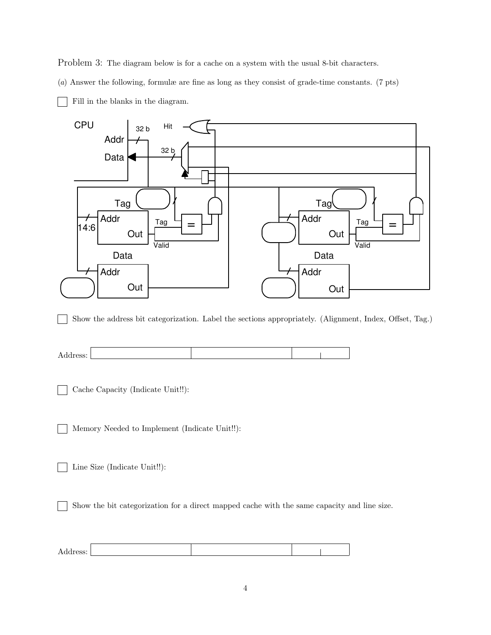Problem 3: The diagram below is for a cache on a system with the usual 8-bit characters.

(a) Answer the following, formulæ are fine as long as they consist of grade-time constants. (7 pts)

- CPU Addr Data Data Addr Out Tag Addr Tag Valid Data Addr Tag Addr  $\frac{Tag - 1}{?} =$ Valid Hit Out Out Out 32 b 32 b 14:6
- Fill in the blanks in the diagram.

Show the address bit categorization. Label the sections appropriately. (Alignment, Index, Offset, Tag.)  $\mathbf{I}$ 



Cache Capacity (Indicate Unit!!):

Memory Needed to Implement (Indicate Unit!!):  $\sim$ 

Line Size (Indicate Unit!!):

Show the bit categorization for a direct mapped cache with the same capacity and line size.

| UDD.<br>. |  |  |
|-----------|--|--|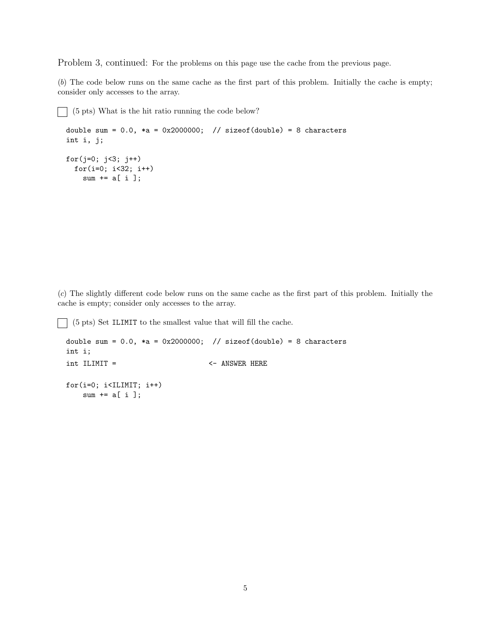Problem 3, continued: For the problems on this page use the cache from the previous page.

(b) The code below runs on the same cache as the first part of this problem. Initially the cache is empty; consider only accesses to the array.

```
\Box (5 pts) What is the hit ratio running the code below?
 double sum = 0.0, *a = 0x2000000; // sizeof(double) = 8 characters
 int i, j;
 for(j=0; j<3; j++)for(i=0; i<32; i++)
      sum += a[i];
```
(c) The slightly different code below runs on the same cache as the first part of this problem. Initially the cache is empty; consider only accesses to the array.

(5 pts) Set ILIMIT to the smallest value that will fill the cache.

```
double sum = 0.0, *a = 0x2000000; // sizeof(double) = 8 characters
int i;
int ILIMIT = \left\langle -\right\rangle ANSWER HERE
for(i=0; i<ILIMIT; i++)
    sum += a[i];
```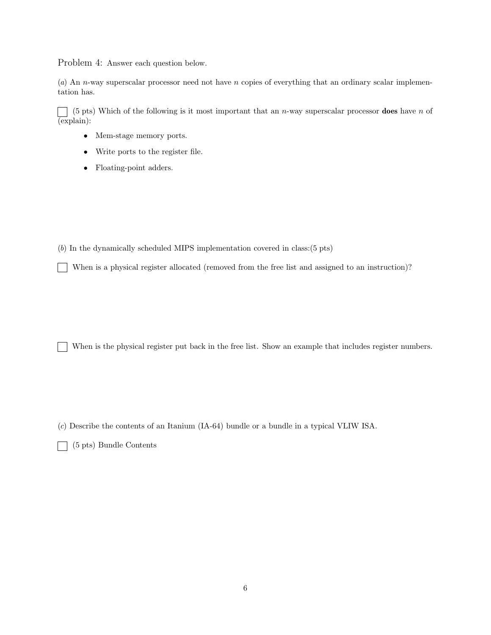Problem 4: Answer each question below.

(a) An n-way superscalar processor need not have n copies of everything that an ordinary scalar implementation has.

 $(5 \text{ pts})$  Which of the following is it most important that an n-way superscalar processor **does** have n of (explain):

- Mem-stage memory ports.
- Write ports to the register file.
- Floating-point adders.

(b) In the dynamically scheduled MIPS implementation covered in class:(5 pts)

When is a physical register allocated (removed from the free list and assigned to an instruction)?  $\mathbf{I}$ 

When is the physical register put back in the free list. Show an example that includes register numbers.

(c) Describe the contents of an Itanium (IA-64) bundle or a bundle in a typical VLIW ISA.

(5 pts) Bundle Contents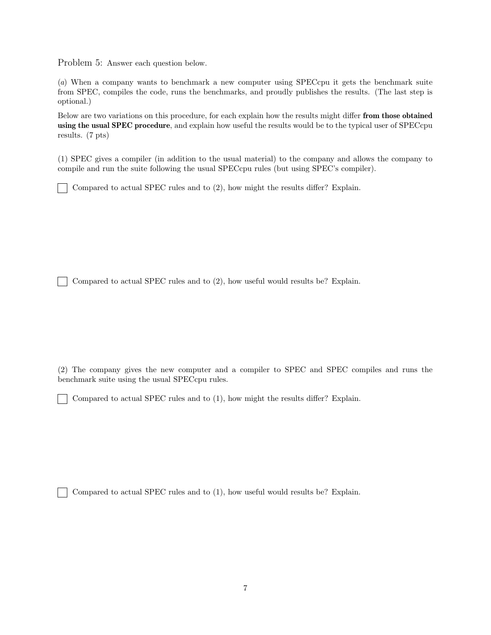Problem 5: Answer each question below.

(a) When a company wants to benchmark a new computer using SPECcpu it gets the benchmark suite from SPEC, compiles the code, runs the benchmarks, and proudly publishes the results. (The last step is optional.)

Below are two variations on this procedure, for each explain how the results might differ from those obtained using the usual SPEC procedure, and explain how useful the results would be to the typical user of SPECcpu results. (7 pts)

(1) SPEC gives a compiler (in addition to the usual material) to the company and allows the company to compile and run the suite following the usual SPECcpu rules (but using SPEC's compiler).

Compared to actual SPEC rules and to (2), how might the results differ? Explain.

Compared to actual SPEC rules and to (2), how useful would results be? Explain.

(2) The company gives the new computer and a compiler to SPEC and SPEC compiles and runs the benchmark suite using the usual SPECcpu rules.

Compared to actual SPEC rules and to (1), how might the results differ? Explain.

Compared to actual SPEC rules and to (1), how useful would results be? Explain.

 $\mathbf{1}$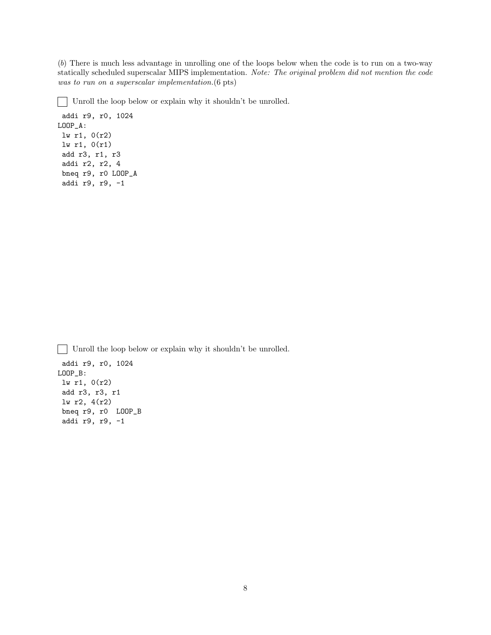(b) There is much less advantage in unrolling one of the loops below when the code is to run on a two-way statically scheduled superscalar MIPS implementation. Note: The original problem did not mention the code was to run on a superscalar implementation.  $(6 \text{ pts})$ 

 $\mathbf{L}$ Unroll the loop below or explain why it shouldn't be unrolled.

addi r9, r0, 1024 LOOP\_A: lw r1, 0(r2) lw r1, 0(r1) add r3, r1, r3 addi r2, r2, 4 bneq r9, r0 LOOP\_A addi r9, r9, -1

Unroll the loop below or explain why it shouldn't be unrolled.

addi r9, r0, 1024 LOOP\_B: lw r1, 0(r2) add r3, r3, r1 lw r2, 4(r2) bneq r9, r0 LOOP\_B addi r9, r9, -1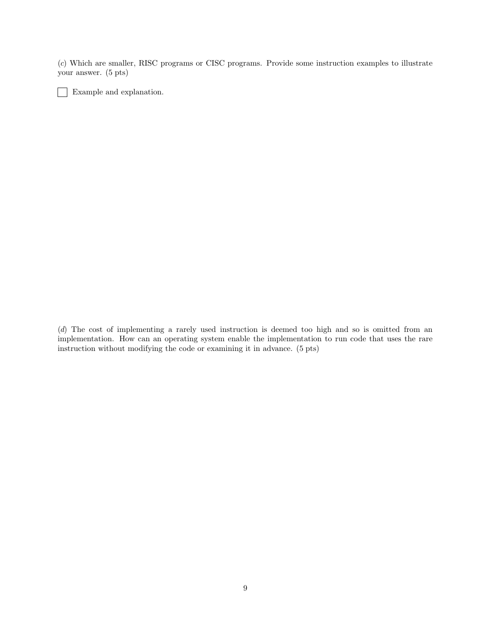(c) Which are smaller, RISC programs or CISC programs. Provide some instruction examples to illustrate your answer. (5 pts)

Example and explanation.

(d) The cost of implementing a rarely used instruction is deemed too high and so is omitted from an implementation. How can an operating system enable the implementation to run code that uses the rare instruction without modifying the code or examining it in advance. (5 pts)